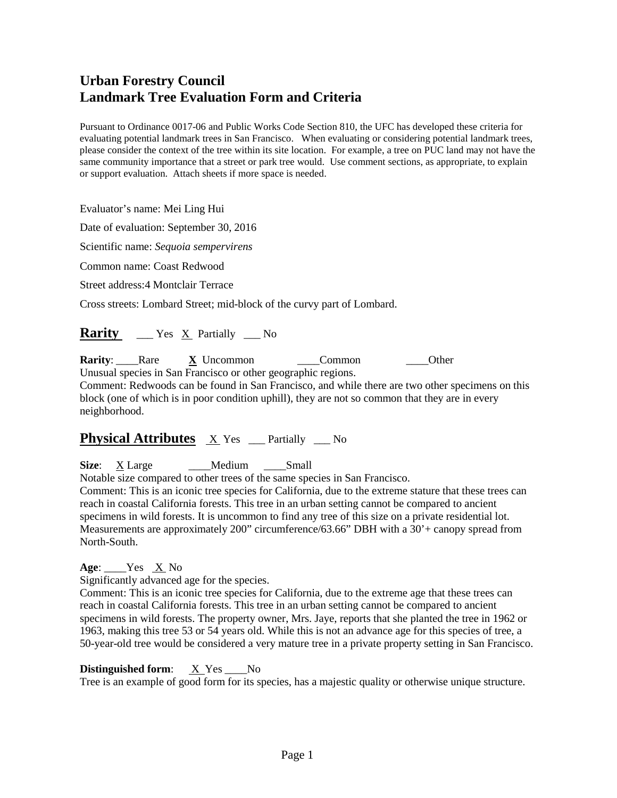Pursuant to Ordinance 0017-06 and Public Works Code Section 810, the UFC has developed these criteria for evaluating potential landmark trees in San Francisco. When evaluating or considering potential landmark trees, please consider the context of the tree within its site location. For example, a tree on PUC land may not have the same community importance that a street or park tree would. Use comment sections, as appropriate, to explain or support evaluation. Attach sheets if more space is needed.

Evaluator's name: Mei Ling Hui

Date of evaluation: September 30, 2016

Scientific name: *Sequoia sempervirens*

Common name: Coast Redwood

Street address:4 Montclair Terrace

Cross streets: Lombard Street; mid-block of the curvy part of Lombard.

## **Rarity** \_\_\_ Yes X Partially \_\_ No

**Rarity**: Rare **X** Uncommon \_\_\_\_Common \_\_\_\_Other Unusual species in San Francisco or other geographic regions.

Comment: Redwoods can be found in San Francisco, and while there are two other specimens on this block (one of which is in poor condition uphill), they are not so common that they are in every neighborhood.

# **Physical Attributes**  $X$  Yes \_\_ Partially \_\_ No

**Size**: X Large \_\_\_\_\_Medium \_\_\_\_Small

Notable size compared to other trees of the same species in San Francisco.

Comment: This is an iconic tree species for California, due to the extreme stature that these trees can reach in coastal California forests. This tree in an urban setting cannot be compared to ancient specimens in wild forests. It is uncommon to find any tree of this size on a private residential lot. Measurements are approximately 200" circumference/63.66" DBH with a 30'+ canopy spread from North-South.

 $Age:$  <u>X</u> No

Significantly advanced age for the species.

Comment: This is an iconic tree species for California, due to the extreme age that these trees can reach in coastal California forests. This tree in an urban setting cannot be compared to ancient specimens in wild forests. The property owner, Mrs. Jaye, reports that she planted the tree in 1962 or 1963, making this tree 53 or 54 years old. While this is not an advance age for this species of tree, a 50-year-old tree would be considered a very mature tree in a private property setting in San Francisco.

**Distinguished form:** X Yes No

Tree is an example of good form for its species, has a majestic quality or otherwise unique structure.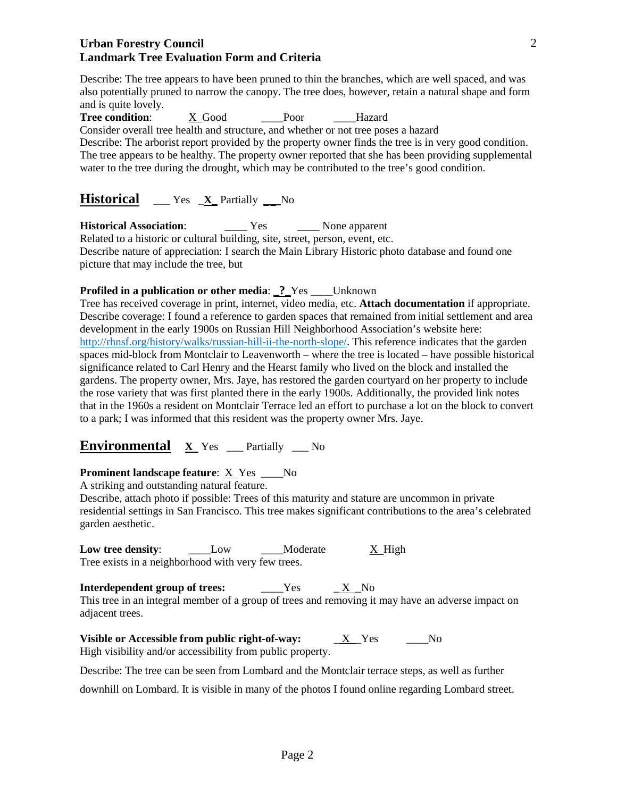Describe: The tree appears to have been pruned to thin the branches, which are well spaced, and was also potentially pruned to narrow the canopy. The tree does, however, retain a natural shape and form and is quite lovely.

Tree condition: X Good Poor Hazard Consider overall tree health and structure, and whether or not tree poses a hazard Describe: The arborist report provided by the property owner finds the tree is in very good condition. The tree appears to be healthy. The property owner reported that she has been providing supplemental

water to the tree during the drought, which may be contributed to the tree's good condition.

## **Historical** \_\_\_ Yes \_**X\_** Partially **\_\_** No

**Historical Association:** \_\_\_\_\_ Yes \_\_\_\_\_ None apparent

Related to a historic or cultural building, site, street, person, event, etc. Describe nature of appreciation: I search the Main Library Historic photo database and found one picture that may include the tree, but

## **Profiled in a publication or other media**: **\_?\_**Yes \_\_\_\_Unknown

Tree has received coverage in print, internet, video media, etc. **Attach documentation** if appropriate. Describe coverage: I found a reference to garden spaces that remained from initial settlement and area development in the early 1900s on Russian Hill Neighborhood Association's website here: [http://rhnsf.org/history/walks/russian-hill-ii-the-north-slope/.](http://rhnsf.org/history/walks/russian-hill-ii-the-north-slope/) This reference indicates that the garden spaces mid-block from Montclair to Leavenworth – where the tree is located – have possible historical significance related to Carl Henry and the Hearst family who lived on the block and installed the gardens. The property owner, Mrs. Jaye, has restored the garden courtyard on her property to include the rose variety that was first planted there in the early 1900s. Additionally, the provided link notes that in the 1960s a resident on Montclair Terrace led an effort to purchase a lot on the block to convert to a park; I was informed that this resident was the property owner Mrs. Jaye.

**Environmental X** Yes \_\_\_ Partially \_\_\_ No

## **Prominent landscape feature:** <u>X</u> Yes \_\_\_No

A striking and outstanding natural feature.

Describe, attach photo if possible: Trees of this maturity and stature are uncommon in private residential settings in San Francisco. This tree makes significant contributions to the area's celebrated garden aesthetic.

**Low tree density:** \_\_\_\_\_\_Low \_\_\_\_\_Moderate X High Tree exists in a neighborhood with very few trees.

**Interdependent group of trees:**  $Y$ es  $X_{N}$  No

This tree in an integral member of a group of trees and removing it may have an adverse impact on adjacent trees.

**Visible or Accessible from public right-of-way:** X Yes No High visibility and/or accessibility from public property.

Describe: The tree can be seen from Lombard and the Montclair terrace steps, as well as further

downhill on Lombard. It is visible in many of the photos I found online regarding Lombard street.

2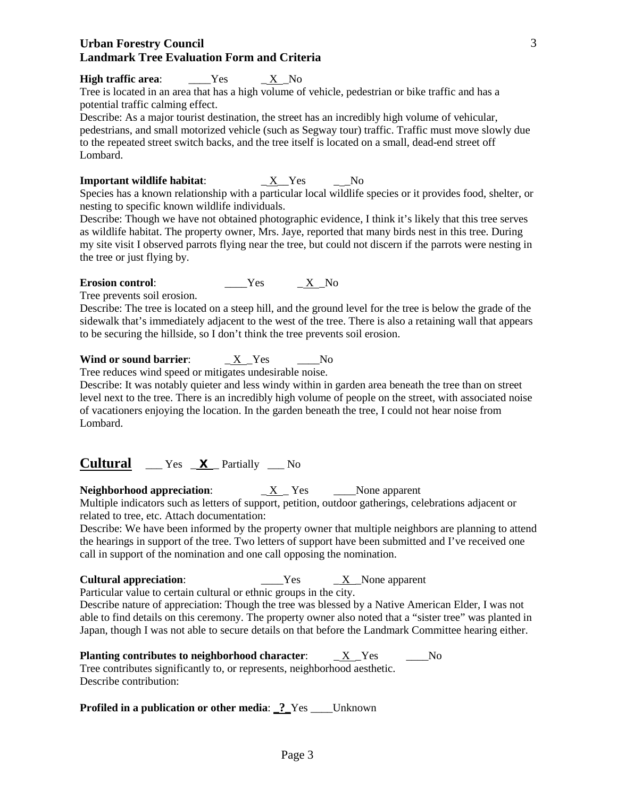## **High traffic area:** \_\_\_\_Yes X No

Tree is located in an area that has a high volume of vehicle, pedestrian or bike traffic and has a potential traffic calming effect.

Describe: As a major tourist destination, the street has an incredibly high volume of vehicular, pedestrians, and small motorized vehicle (such as Segway tour) traffic. Traffic must move slowly due to the repeated street switch backs, and the tree itself is located on a small, dead-end street off Lombard.

#### **Important wildlife habitat**: \_ X\_\_Yes \_ \_No

Species has a known relationship with a particular local wildlife species or it provides food, shelter, or nesting to specific known wildlife individuals.

Describe: Though we have not obtained photographic evidence, I think it's likely that this tree serves as wildlife habitat. The property owner, Mrs. Jaye, reported that many birds nest in this tree. During my site visit I observed parrots flying near the tree, but could not discern if the parrots were nesting in the tree or just flying by.

#### **Erosion control:**  $Y$ es  $X$  No

Tree prevents soil erosion.

Describe: The tree is located on a steep hill, and the ground level for the tree is below the grade of the sidewalk that's immediately adjacent to the west of the tree. There is also a retaining wall that appears to be securing the hillside, so I don't think the tree prevents soil erosion.

## **Wind or sound barrier:**  $\underline{X}$  Yes \_\_\_No

Tree reduces wind speed or mitigates undesirable noise.

Describe: It was notably quieter and less windy within in garden area beneath the tree than on street level next to the tree. There is an incredibly high volume of people on the street, with associated noise of vacationers enjoying the location. In the garden beneath the tree, I could not hear noise from Lombard.

**Cultural** \_\_\_ Yes \_ **X** \_ Partially \_\_\_ No

**Neighborhood appreciation**: \_ X \_ Yes \_\_\_\_None apparent

Multiple indicators such as letters of support, petition, outdoor gatherings, celebrations adjacent or related to tree, etc. Attach documentation:

Describe: We have been informed by the property owner that multiple neighbors are planning to attend the hearings in support of the tree. Two letters of support have been submitted and I've received one call in support of the nomination and one call opposing the nomination.

**Cultural appreciation:** \_\_\_\_\_\_\_Yes \_\_\_\_<u>X</u>\_None apparent

Particular value to certain cultural or ethnic groups in the city. Describe nature of appreciation: Though the tree was blessed by a Native American Elder, I was not able to find details on this ceremony. The property owner also noted that a "sister tree" was planted in Japan, though I was not able to secure details on that before the Landmark Committee hearing either.

**Planting contributes to neighborhood character:**  $X$  Yes No Tree contributes significantly to, or represents, neighborhood aesthetic. Describe contribution:

**Profiled in a publication or other media**: **\_?\_**Yes \_\_\_\_Unknown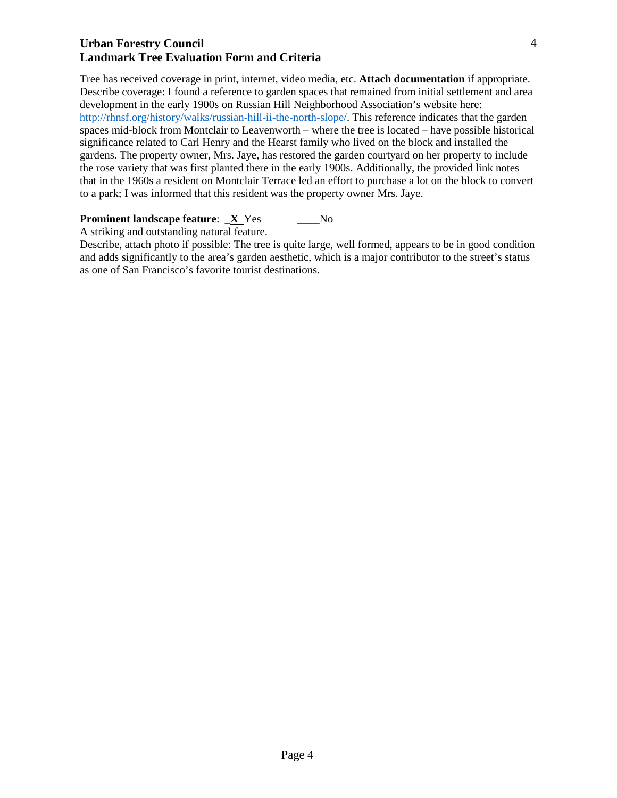Tree has received coverage in print, internet, video media, etc. **Attach documentation** if appropriate. Describe coverage: I found a reference to garden spaces that remained from initial settlement and area development in the early 1900s on Russian Hill Neighborhood Association's website here: [http://rhnsf.org/history/walks/russian-hill-ii-the-north-slope/.](http://rhnsf.org/history/walks/russian-hill-ii-the-north-slope/) This reference indicates that the garden spaces mid-block from Montclair to Leavenworth – where the tree is located – have possible historical significance related to Carl Henry and the Hearst family who lived on the block and installed the gardens. The property owner, Mrs. Jaye, has restored the garden courtyard on her property to include the rose variety that was first planted there in the early 1900s. Additionally, the provided link notes that in the 1960s a resident on Montclair Terrace led an effort to purchase a lot on the block to convert to a park; I was informed that this resident was the property owner Mrs. Jaye.

## **Prominent landscape feature:**  $\mathbf{X}$  **Yes \_\_\_\_No**

A striking and outstanding natural feature.

Describe, attach photo if possible: The tree is quite large, well formed, appears to be in good condition and adds significantly to the area's garden aesthetic, which is a major contributor to the street's status as one of San Francisco's favorite tourist destinations.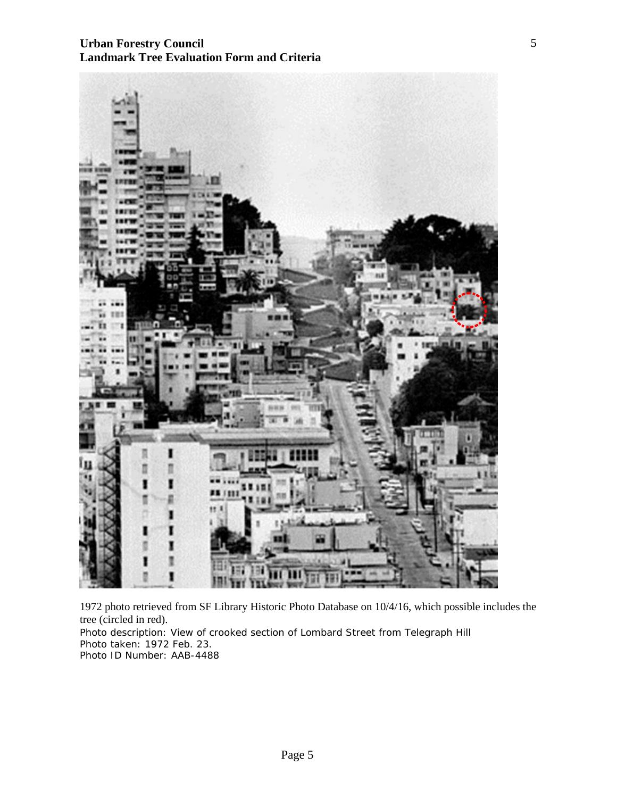

1972 photo retrieved from SF Library Historic Photo Database on 10/4/16, which possible includes the tree (circled in red). Photo description: View of crooked section of Lombard Street from Telegraph Hill Photo taken: 1972 Feb. 23. Photo ID Number: AAB-4488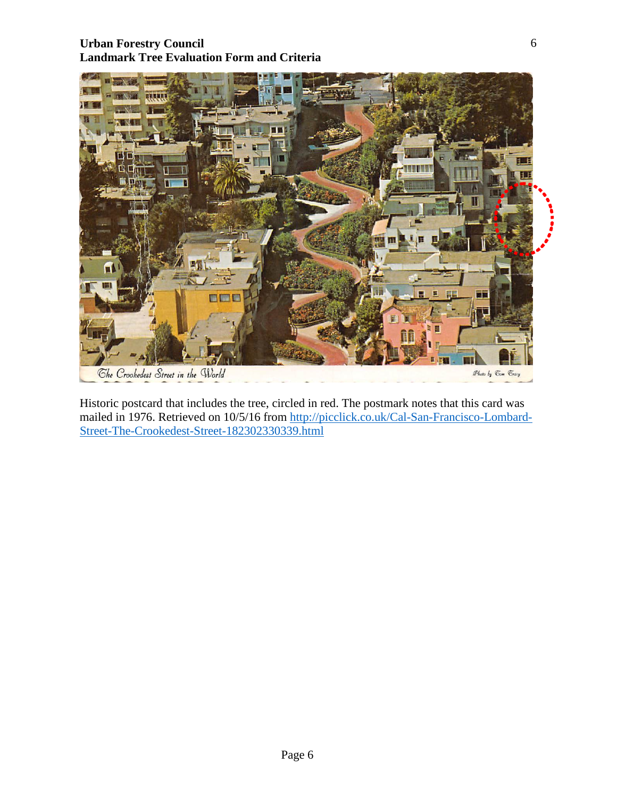

Historic postcard that includes the tree, circled in red. The postmark notes that this card was mailed in 1976. Retrieved on 10/5/16 from [http://picclick.co.uk/Cal-San-Francisco-Lombard-](http://picclick.co.uk/Cal-San-Francisco-Lombard-Street-The-Crookedest-Street-182302330339.html)[Street-The-Crookedest-Street-182302330339.html](http://picclick.co.uk/Cal-San-Francisco-Lombard-Street-The-Crookedest-Street-182302330339.html)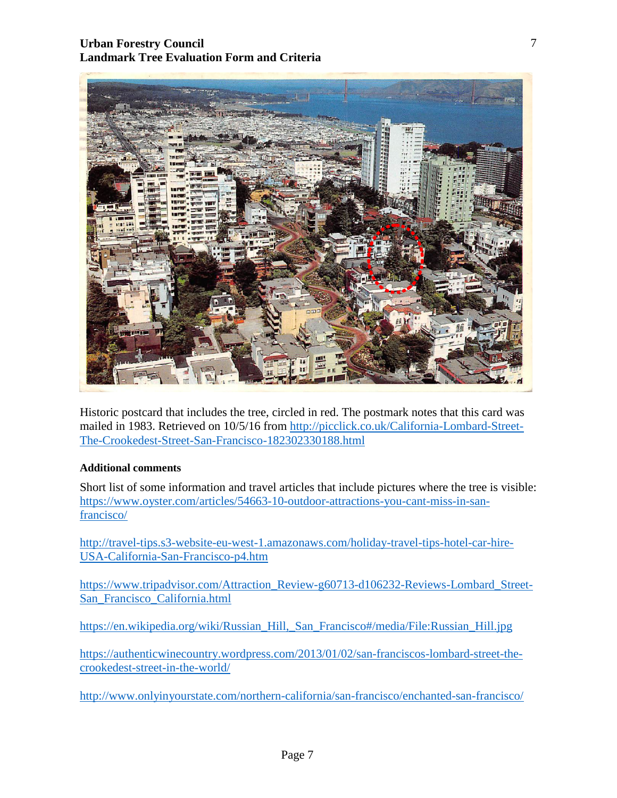

Historic postcard that includes the tree, circled in red. The postmark notes that this card was mailed in 1983. Retrieved on 10/5/16 from [http://picclick.co.uk/California-Lombard-Street-](http://picclick.co.uk/California-Lombard-Street-The-Crookedest-Street-San-Francisco-182302330188.html)[The-Crookedest-Street-San-Francisco-182302330188.html](http://picclick.co.uk/California-Lombard-Street-The-Crookedest-Street-San-Francisco-182302330188.html)

#### **Additional comments**

Short list of some information and travel articles that include pictures where the tree is visible: [https://www.oyster.com/articles/54663-10-outdoor-attractions-you-cant-miss-in-san](https://www.oyster.com/articles/54663-10-outdoor-attractions-you-cant-miss-in-san-francisco/)[francisco/](https://www.oyster.com/articles/54663-10-outdoor-attractions-you-cant-miss-in-san-francisco/)

[http://travel-tips.s3-website-eu-west-1.amazonaws.com/holiday-travel-tips-hotel-car-hire-](http://travel-tips.s3-website-eu-west-1.amazonaws.com/holiday-travel-tips-hotel-car-hire-USA-California-San-Francisco-p4.htm)[USA-California-San-Francisco-p4.htm](http://travel-tips.s3-website-eu-west-1.amazonaws.com/holiday-travel-tips-hotel-car-hire-USA-California-San-Francisco-p4.htm)

[https://www.tripadvisor.com/Attraction\\_Review-g60713-d106232-Reviews-Lombard\\_Street-](https://www.tripadvisor.com/Attraction_Review-g60713-d106232-Reviews-Lombard_Street-San_Francisco_California.html)[San\\_Francisco\\_California.html](https://www.tripadvisor.com/Attraction_Review-g60713-d106232-Reviews-Lombard_Street-San_Francisco_California.html)

[https://en.wikipedia.org/wiki/Russian\\_Hill,\\_San\\_Francisco#/media/File:Russian\\_Hill.jpg](https://en.wikipedia.org/wiki/Russian_Hill,_San_Francisco#/media/File:Russian_Hill.jpg)

[https://authenticwinecountry.wordpress.com/2013/01/02/san-franciscos-lombard-street-the](https://authenticwinecountry.wordpress.com/2013/01/02/san-franciscos-lombard-street-the-crookedest-street-in-the-world/)[crookedest-street-in-the-world/](https://authenticwinecountry.wordpress.com/2013/01/02/san-franciscos-lombard-street-the-crookedest-street-in-the-world/)

<http://www.onlyinyourstate.com/northern-california/san-francisco/enchanted-san-francisco/>